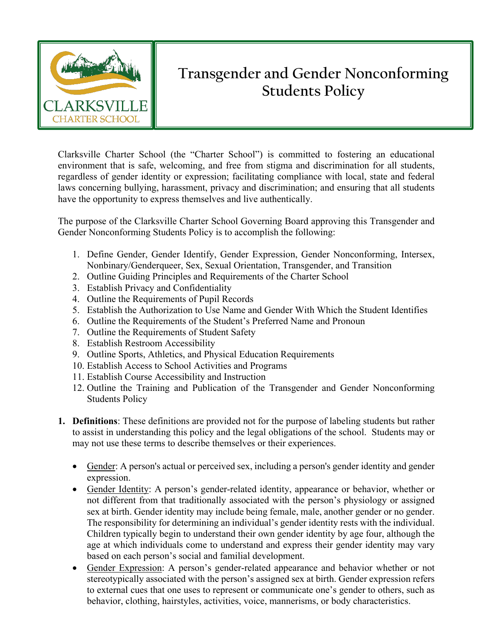

## **Transgender and Gender Nonconforming Students Policy**

Clarksville Charter School (the "Charter School") is committed to fostering an educational environment that is safe, welcoming, and free from stigma and discrimination for all students, regardless of gender identity or expression; facilitating compliance with local, state and federal laws concerning bullying, harassment, privacy and discrimination; and ensuring that all students have the opportunity to express themselves and live authentically.

The purpose of the Clarksville Charter School Governing Board approving this Transgender and Gender Nonconforming Students Policy is to accomplish the following:

- 1. Define Gender, Gender Identify, Gender Expression, Gender Nonconforming, Intersex, Nonbinary/Genderqueer, Sex, Sexual Orientation, Transgender, and Transition
- 2. Outline Guiding Principles and Requirements of the Charter School
- 3. Establish Privacy and Confidentiality
- 4. Outline the Requirements of Pupil Records
- 5. Establish the Authorization to Use Name and Gender With Which the Student Identifies
- 6. Outline the Requirements of the Student's Preferred Name and Pronoun
- 7. Outline the Requirements of Student Safety
- 8. Establish Restroom Accessibility
- 9. Outline Sports, Athletics, and Physical Education Requirements
- 10. Establish Access to School Activities and Programs
- 11. Establish Course Accessibility and Instruction
- 12. Outline the Training and Publication of the Transgender and Gender Nonconforming Students Policy
- **1. Definitions**: These definitions are provided not for the purpose of labeling students but rather to assist in understanding this policy and the legal obligations of the school. Students may or may not use these terms to describe themselves or their experiences.
	- Gender: A person's actual or perceived sex, including a person's gender identity and gender expression.
	- Gender Identity: A person's gender-related identity, appearance or behavior, whether or not different from that traditionally associated with the person's physiology or assigned sex at birth. Gender identity may include being female, male, another gender or no gender. The responsibility for determining an individual's gender identity rests with the individual. Children typically begin to understand their own gender identity by age four, although the age at which individuals come to understand and express their gender identity may vary based on each person's social and familial development.
	- Gender Expression: A person's gender-related appearance and behavior whether or not stereotypically associated with the person's assigned sex at birth. Gender expression refers to external cues that one uses to represent or communicate one's gender to others, such as behavior, clothing, hairstyles, activities, voice, mannerisms, or body characteristics.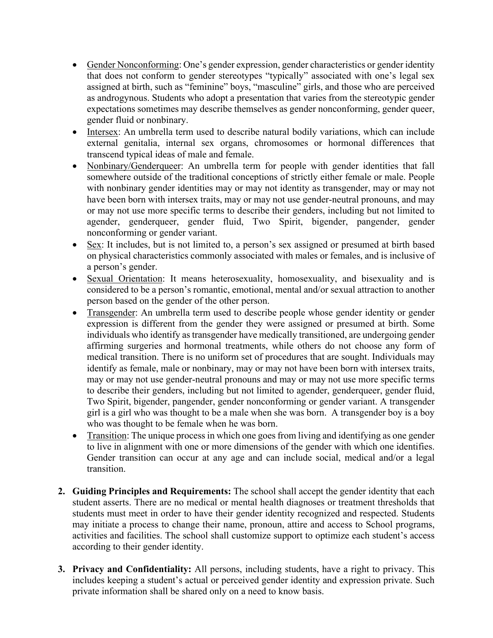- Gender Nonconforming: One's gender expression, gender characteristics or gender identity that does not conform to gender stereotypes "typically" associated with one's legal sex assigned at birth, such as "feminine" boys, "masculine" girls, and those who are perceived as androgynous. Students who adopt a presentation that varies from the stereotypic gender expectations sometimes may describe themselves as gender nonconforming, gender queer, gender fluid or nonbinary.
- Intersex: An umbrella term used to describe natural bodily variations, which can include external genitalia, internal sex organs, chromosomes or hormonal differences that transcend typical ideas of male and female.
- Nonbinary/Genderqueer: An umbrella term for people with gender identities that fall somewhere outside of the traditional conceptions of strictly either female or male. People with nonbinary gender identities may or may not identity as transgender, may or may not have been born with intersex traits, may or may not use gender-neutral pronouns, and may or may not use more specific terms to describe their genders, including but not limited to agender, genderqueer, gender fluid, Two Spirit, bigender, pangender, gender nonconforming or gender variant.
- Sex: It includes, but is not limited to, a person's sex assigned or presumed at birth based on physical characteristics commonly associated with males or females, and is inclusive of a person's gender.
- Sexual Orientation: It means heterosexuality, homosexuality, and bisexuality and is considered to be a person's romantic, emotional, mental and/or sexual attraction to another person based on the gender of the other person.
- Transgender: An umbrella term used to describe people whose gender identity or gender expression is different from the gender they were assigned or presumed at birth. Some individuals who identify as transgender have medically transitioned, are undergoing gender affirming surgeries and hormonal treatments, while others do not choose any form of medical transition. There is no uniform set of procedures that are sought. Individuals may identify as female, male or nonbinary, may or may not have been born with intersex traits, may or may not use gender-neutral pronouns and may or may not use more specific terms to describe their genders, including but not limited to agender, genderqueer, gender fluid, Two Spirit, bigender, pangender, gender nonconforming or gender variant. A transgender girl is a girl who was thought to be a male when she was born. A transgender boy is a boy who was thought to be female when he was born.
- Transition: The unique process in which one goes from living and identifying as one gender to live in alignment with one or more dimensions of the gender with which one identifies. Gender transition can occur at any age and can include social, medical and/or a legal transition.
- **2. Guiding Principles and Requirements:** The school shall accept the gender identity that each student asserts. There are no medical or mental health diagnoses or treatment thresholds that students must meet in order to have their gender identity recognized and respected. Students may initiate a process to change their name, pronoun, attire and access to School programs, activities and facilities. The school shall customize support to optimize each student's access according to their gender identity.
- **3. Privacy and Confidentiality:** All persons, including students, have a right to privacy. This includes keeping a student's actual or perceived gender identity and expression private. Such private information shall be shared only on a need to know basis.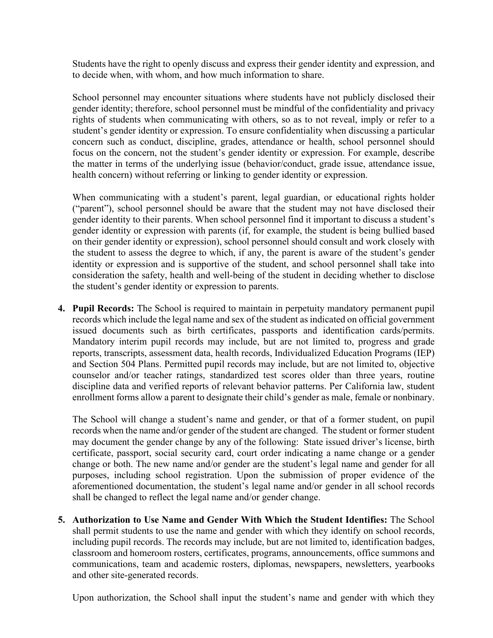Students have the right to openly discuss and express their gender identity and expression, and to decide when, with whom, and how much information to share.

School personnel may encounter situations where students have not publicly disclosed their gender identity; therefore, school personnel must be mindful of the confidentiality and privacy rights of students when communicating with others, so as to not reveal, imply or refer to a student's gender identity or expression. To ensure confidentiality when discussing a particular concern such as conduct, discipline, grades, attendance or health, school personnel should focus on the concern, not the student's gender identity or expression. For example, describe the matter in terms of the underlying issue (behavior/conduct, grade issue, attendance issue, health concern) without referring or linking to gender identity or expression.

When communicating with a student's parent, legal guardian, or educational rights holder ("parent"), school personnel should be aware that the student may not have disclosed their gender identity to their parents. When school personnel find it important to discuss a student's gender identity or expression with parents (if, for example, the student is being bullied based on their gender identity or expression), school personnel should consult and work closely with the student to assess the degree to which, if any, the parent is aware of the student's gender identity or expression and is supportive of the student, and school personnel shall take into consideration the safety, health and well-being of the student in deciding whether to disclose the student's gender identity or expression to parents.

**4. Pupil Records:** The School is required to maintain in perpetuity mandatory permanent pupil records which include the legal name and sex of the student as indicated on official government issued documents such as birth certificates, passports and identification cards/permits. Mandatory interim pupil records may include, but are not limited to, progress and grade reports, transcripts, assessment data, health records, Individualized Education Programs (IEP) and Section 504 Plans. Permitted pupil records may include, but are not limited to, objective counselor and/or teacher ratings, standardized test scores older than three years, routine discipline data and verified reports of relevant behavior patterns. Per California law, student enrollment forms allow a parent to designate their child's gender as male, female or nonbinary.

The School will change a student's name and gender, or that of a former student, on pupil records when the name and/or gender of the student are changed. The student or former student may document the gender change by any of the following: State issued driver's license, birth certificate, passport, social security card, court order indicating a name change or a gender change or both. The new name and/or gender are the student's legal name and gender for all purposes, including school registration. Upon the submission of proper evidence of the aforementioned documentation, the student's legal name and/or gender in all school records shall be changed to reflect the legal name and/or gender change.

**5. Authorization to Use Name and Gender With Which the Student Identifies:** The School shall permit students to use the name and gender with which they identify on school records, including pupil records. The records may include, but are not limited to, identification badges, classroom and homeroom rosters, certificates, programs, announcements, office summons and communications, team and academic rosters, diplomas, newspapers, newsletters, yearbooks and other site-generated records.

Upon authorization, the School shall input the student's name and gender with which they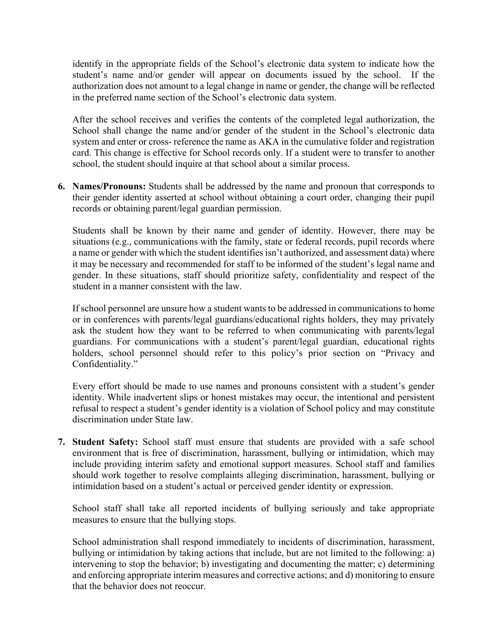identify in the appropriate fields of the School's electronic data system to indicate how the student's name and/or gender will appear on documents issued by the school. If the authorization does not amount to a legal change in name or gender, the change will be reflected in the preferred name section of the School's electronic data system.

After the school receives and verifies the contents of the completed legal authorization, the School shall change the name and/or gender of the student in the School's electronic data system and enter or cross- reference the name as AKA in the cumulative folder and registration card. This change is effective for School records only. If a student were to transfer to another school, the student should inquire at that school about a similar process.

**6. Names/Pronouns:** Students shall be addressed by the name and pronoun that corresponds to their gender identity asserted at school without obtaining a court order, changing their pupil records or obtaining parent/legal guardian permission.

Students shall be known by their name and gender of identity. However, there may be situations (e.g., communications with the family, state or federal records, pupil records where a name or gender with which the student identifies isn't authorized, and assessment data) where it may be necessary and recommended for staff to be informed of the student's legal name and gender. In these situations, staff should prioritize safety, confidentiality and respect of the student in a manner consistent with the law.

If school personnel are unsure how a student wants to be addressed in communications to home or in conferences with parents/legal guardians/educational rights holders, they may privately ask the student how they want to be referred to when communicating with parents/legal guardians. For communications with a student's parent/legal guardian, educational rights holders, school personnel should refer to this policy's prior section on "Privacy and Confidentiality."

Every effort should be made to use names and pronouns consistent with a student's gender identity. While inadvertent slips or honest mistakes may occur, the intentional and persistent refusal to respect a student's gender identity is a violation of School policy and may constitute discrimination under State law.

**7. Student Safety:** School staff must ensure that students are provided with a safe school environment that is free of discrimination, harassment, bullying or intimidation, which may include providing interim safety and emotional support measures. School staff and families should work together to resolve complaints alleging discrimination, harassment, bullying or intimidation based on a student's actual or perceived gender identity or expression.

School staff shall take all reported incidents of bullying seriously and take appropriate measures to ensure that the bullying stops.

School administration shall respond immediately to incidents of discrimination, harassment, bullying or intimidation by taking actions that include, but are not limited to the following: a) intervening to stop the behavior; b) investigating and documenting the matter; c) determining and enforcing appropriate interim measures and corrective actions; and d) monitoring to ensure that the behavior does not reoccur.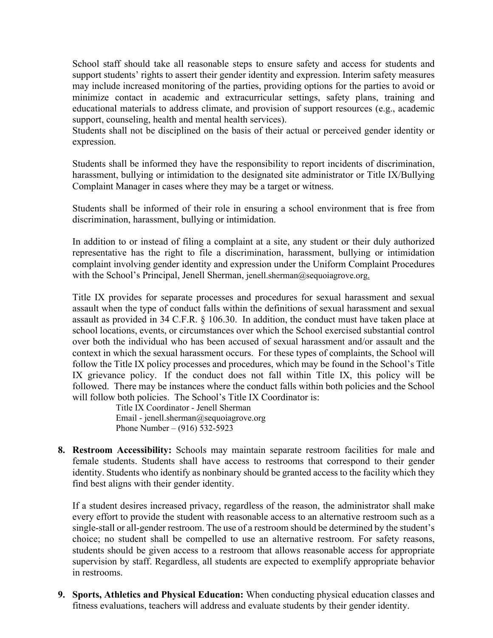School staff should take all reasonable steps to ensure safety and access for students and support students' rights to assert their gender identity and expression. Interim safety measures may include increased monitoring of the parties, providing options for the parties to avoid or minimize contact in academic and extracurricular settings, safety plans, training and educational materials to address climate, and provision of support resources (e.g., academic support, counseling, health and mental health services).

Students shall not be disciplined on the basis of their actual or perceived gender identity or expression.

Students shall be informed they have the responsibility to report incidents of discrimination, harassment, bullying or intimidation to the designated site administrator or Title IX/Bullying Complaint Manager in cases where they may be a target or witness.

Students shall be informed of their role in ensuring a school environment that is free from discrimination, harassment, bullying or intimidation.

In addition to or instead of filing a complaint at a site, any student or their duly authorized representative has the right to file a discrimination, harassment, bullying or intimidation complaint involving gender identity and expression under the Uniform Complaint Procedures with the School's Principal, Jenell Sherman, jenell.sherman@sequoiagrove.org.

Title IX provides for separate processes and procedures for sexual harassment and sexual assault when the type of conduct falls within the definitions of sexual harassment and sexual assault as provided in 34 C.F.R. § 106.30. In addition, the conduct must have taken place at school locations, events, or circumstances over which the School exercised substantial control over both the individual who has been accused of sexual harassment and/or assault and the context in which the sexual harassment occurs. For these types of complaints, the School will follow the Title IX policy processes and procedures, which may be found in the School's Title IX grievance policy. If the conduct does not fall within Title IX, this policy will be followed. There may be instances where the conduct falls within both policies and the School will follow both policies. The School's Title IX Coordinator is:

> Title IX Coordinator - Jenell Sherman Email - jenell.sherman@sequoiagrove.org Phone Number – (916) 532-5923

**8. Restroom Accessibility:** Schools may maintain separate restroom facilities for male and female students. Students shall have access to restrooms that correspond to their gender identity. Students who identify as nonbinary should be granted access to the facility which they find best aligns with their gender identity.

If a student desires increased privacy, regardless of the reason, the administrator shall make every effort to provide the student with reasonable access to an alternative restroom such as a single-stall or all-gender restroom. The use of a restroom should be determined by the student's choice; no student shall be compelled to use an alternative restroom. For safety reasons, students should be given access to a restroom that allows reasonable access for appropriate supervision by staff. Regardless, all students are expected to exemplify appropriate behavior in restrooms.

**9. Sports, Athletics and Physical Education:** When conducting physical education classes and fitness evaluations, teachers will address and evaluate students by their gender identity.